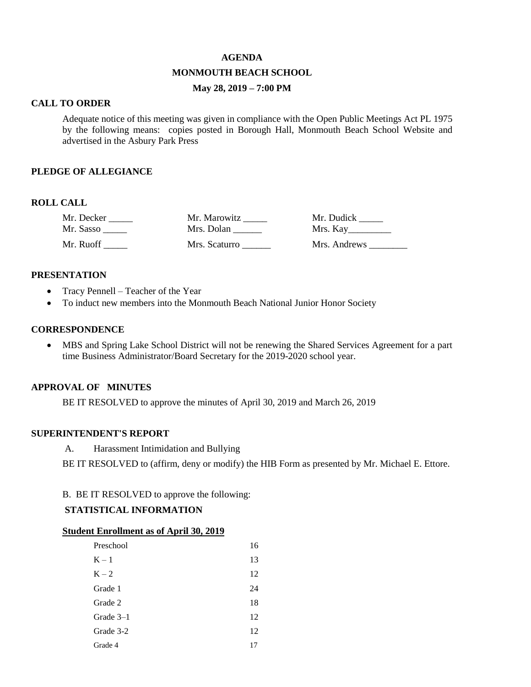#### **AGENDA**

#### **MONMOUTH BEACH SCHOOL**

## **May 28, 2019 – 7:00 PM**

#### **CALL TO ORDER**

Adequate notice of this meeting was given in compliance with the Open Public Meetings Act PL 1975 by the following means: copies posted in Borough Hall, Monmouth Beach School Website and advertised in the Asbury Park Press

#### **PLEDGE OF ALLEGIANCE**

#### **ROLL CALL**

| Mr. Decker | Mr. Marowitz  | Mr. Dudick   |
|------------|---------------|--------------|
| Mr. Sasso  | Mrs. Dolan    | Mrs. Kay     |
| Mr. Ruoff  | Mrs. Scaturro | Mrs. Andrews |

#### **PRESENTATION**

- Tracy Pennell Teacher of the Year
- To induct new members into the Monmouth Beach National Junior Honor Society

## **CORRESPONDENCE**

 MBS and Spring Lake School District will not be renewing the Shared Services Agreement for a part time Business Administrator/Board Secretary for the 2019-2020 school year.

#### **APPROVAL OF MINUTES**

BE IT RESOLVED to approve the minutes of April 30, 2019 and March 26, 2019

#### **SUPERINTENDENT'S REPORT**

A. Harassment Intimidation and Bullying

BE IT RESOLVED to (affirm, deny or modify) the HIB Form as presented by Mr. Michael E. Ettore.

#### B. BE IT RESOLVED to approve the following:

#### **STATISTICAL INFORMATION**

#### **Student Enrollment as of April 30, 2019**

| Preschool | 16 |
|-----------|----|
| $K-1$     | 13 |
| $K - 2$   | 12 |
| Grade 1   | 24 |
| Grade 2   | 18 |
| Grade 3–1 | 12 |
| Grade 3-2 | 12 |
| Grade 4   | 17 |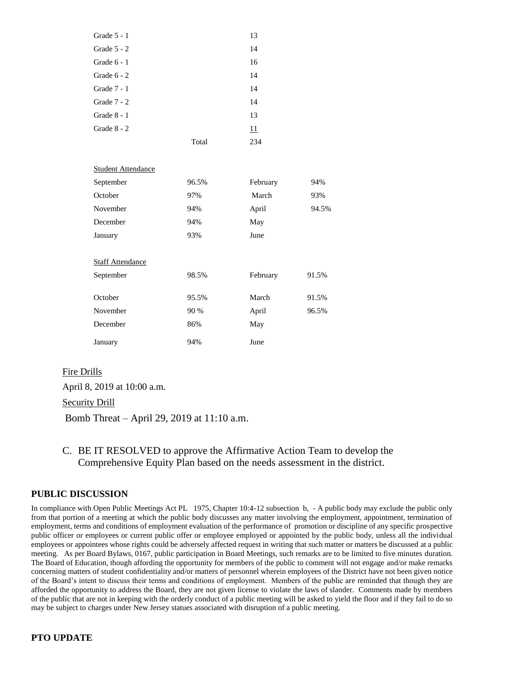| Grade 5 - 1               |       | 13       |       |
|---------------------------|-------|----------|-------|
| Grade $5 - 2$             |       | 14       |       |
| Grade 6 - 1               |       | 16       |       |
| Grade $6 - 2$             |       | 14       |       |
| Grade 7 - 1               |       | 14       |       |
| Grade 7 - 2               |       | 14       |       |
| Grade 8 - 1               |       | 13       |       |
| Grade 8 - 2               |       | 11       |       |
|                           | Total | 234      |       |
|                           |       |          |       |
| <b>Student Attendance</b> |       |          |       |
| September                 | 96.5% | February | 94%   |
| October                   | 97%   | March    | 93%   |
| November                  | 94%   | April    | 94.5% |
| December                  | 94%   | May      |       |
| January                   | 93%   | June     |       |
|                           |       |          |       |
| <b>Staff Attendance</b>   |       |          |       |
| September                 | 98.5% | February | 91.5% |
|                           |       |          |       |
| October                   | 95.5% | March    | 91.5% |
| November                  | 90 %  | April    | 96.5% |
| December                  | 86%   | May      |       |
| January                   | 94%   | June     |       |

## Fire Drills

April 8, 2019 at 10:00 a.m.

Security Drill

Bomb Threat – April 29, 2019 at 11:10 a.m.

C. BE IT RESOLVED to approve the Affirmative Action Team to develop the Comprehensive Equity Plan based on the needs assessment in the district.

## **PUBLIC DISCUSSION**

In compliance with Open Public Meetings Act PL 1975, Chapter 10:4-12 subsection b, - A public body may exclude the public only from that portion of a meeting at which the public body discusses any matter involving the employment, appointment, termination of employment, terms and conditions of employment evaluation of the performance of promotion or discipline of any specific prospective public officer or employees or current public offer or employee employed or appointed by the public body, unless all the individual employees or appointees whose rights could be adversely affected request in writing that such matter or matters be discussed at a public meeting. As per Board Bylaws, 0167, public participation in Board Meetings, such remarks are to be limited to five minutes duration. The Board of Education, though affording the opportunity for members of the public to comment will not engage and/or make remarks concerning matters of student confidentiality and/or matters of personnel wherein employees of the District have not been given notice of the Board's intent to discuss their terms and conditions of employment. Members of the public are reminded that though they are afforded the opportunity to address the Board, they are not given license to violate the laws of slander. Comments made by members of the public that are not in keeping with the orderly conduct of a public meeting will be asked to yield the floor and if they fail to do so may be subject to charges under New Jersey statues associated with disruption of a public meeting.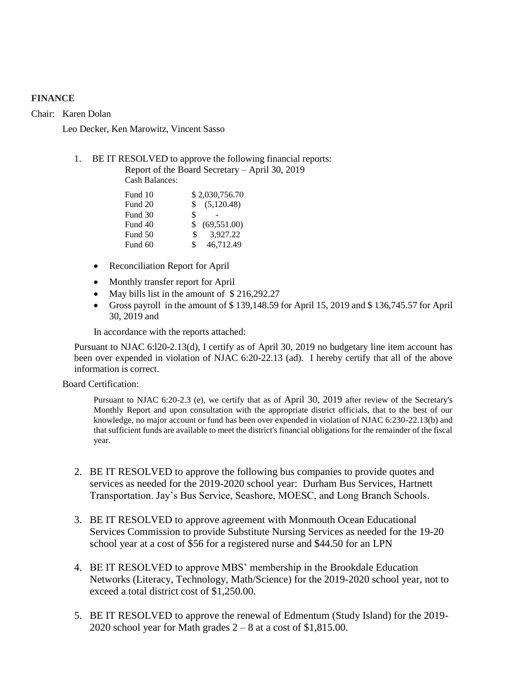## **FINANCE**

Chair: Karen Dolan

Leo Decker, Ken Marowitz, Vincent Sasso

## 1. BE IT RESOLVED to approve the following financial reports: Report of the Board Secretary – April 30, 2019

Cash Balances:

| \$2,030,756.70     |
|--------------------|
| (5,120.48)<br>\$.  |
| \$                 |
| (69, 551.00)<br>\$ |
| \$.<br>3.927.22    |
| 46,712.49<br>\$    |
|                    |

- Reconciliation Report for April
- Monthly transfer report for April
- May bills list in the amount of \$216,292.27
- Gross payroll in the amount of \$ 139,148.59 for April 15, 2019 and \$ 136,745.57 for April 30, 2019 and

In accordance with the reports attached:

Pursuant to NJAC 6:l20-2.13(d), I certify as of April 30, 2019 no budgetary line item account has been over expended in violation of NJAC 6:20-22.13 (ad). I hereby certify that all of the above information is correct.

Board Certification:

Pursuant to NJAC 6:20-2.3 (e), we certify that as of April 30, 2019 after review of the Secretary's Monthly Report and upon consultation with the appropriate district officials, that to the best of our knowledge, no major account or fund has been over expended in violation of NJAC 6:230-22.13(b) and that sufficient funds are available to meet the district's financial obligations for the remainder of the fiscal year.

- 2. BE IT RESOLVED to approve the following bus companies to provide quotes and services as needed for the 2019-2020 school year: Durham Bus Services, Hartnett Transportation. Jay's Bus Service, Seashore, MOESC, and Long Branch Schools.
- 3. BE IT RESOLVED to approve agreement with Monmouth Ocean Educational Services Commission to provide Substitute Nursing Services as needed for the 19-20 school year at a cost of \$56 for a registered nurse and \$44.50 for an LPN
- 4. BE IT RESOLVED to approve MBS' membership in the Brookdale Education Networks (Literacy, Technology, Math/Science) for the 2019-2020 school year, not to exceed a total district cost of \$1,250.00.
- 5. BE IT RESOLVED to approve the renewal of Edmentum (Study Island) for the 2019- 2020 school year for Math grades  $2 - 8$  at a cost of \$1,815.00.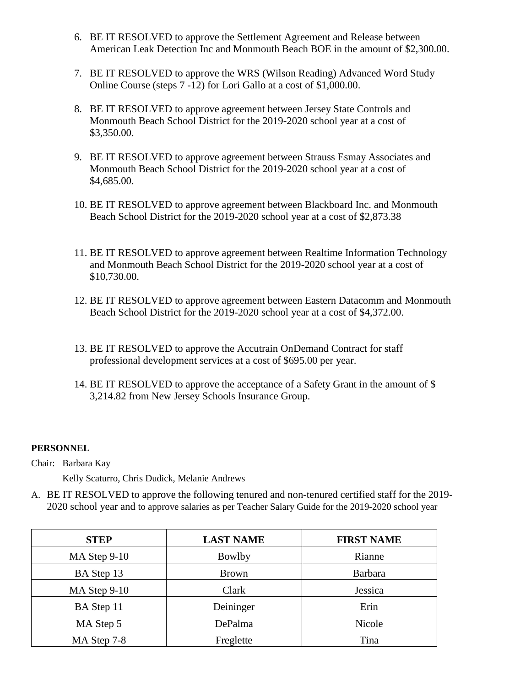- 6. BE IT RESOLVED to approve the Settlement Agreement and Release between American Leak Detection Inc and Monmouth Beach BOE in the amount of \$2,300.00.
- 7. BE IT RESOLVED to approve the WRS (Wilson Reading) Advanced Word Study Online Course (steps 7 -12) for Lori Gallo at a cost of \$1,000.00.
- 8. BE IT RESOLVED to approve agreement between Jersey State Controls and Monmouth Beach School District for the 2019-2020 school year at a cost of \$3,350.00.
- 9. BE IT RESOLVED to approve agreement between Strauss Esmay Associates and Monmouth Beach School District for the 2019-2020 school year at a cost of \$4,685.00.
- 10. BE IT RESOLVED to approve agreement between Blackboard Inc. and Monmouth Beach School District for the 2019-2020 school year at a cost of \$2,873.38
- 11. BE IT RESOLVED to approve agreement between Realtime Information Technology and Monmouth Beach School District for the 2019-2020 school year at a cost of \$10,730.00.
- 12. BE IT RESOLVED to approve agreement between Eastern Datacomm and Monmouth Beach School District for the 2019-2020 school year at a cost of \$4,372.00.
- 13. BE IT RESOLVED to approve the Accutrain OnDemand Contract for staff professional development services at a cost of \$695.00 per year.
- 14. BE IT RESOLVED to approve the acceptance of a Safety Grant in the amount of \$ 3,214.82 from New Jersey Schools Insurance Group.

## **PERSONNEL**

Chair: Barbara Kay

Kelly Scaturro, Chris Dudick, Melanie Andrews

A. BE IT RESOLVED to approve the following tenured and non-tenured certified staff for the 2019- 2020 school year and to approve salaries as per Teacher Salary Guide for the 2019-2020 school year

| <b>STEP</b>    | <b>LAST NAME</b> | <b>FIRST NAME</b> |
|----------------|------------------|-------------------|
| $MA$ Step 9-10 | Bowlby           | Rianne            |
| BA Step 13     | <b>Brown</b>     | <b>Barbara</b>    |
| MA Step 9-10   | Clark            | Jessica           |
| BA Step 11     | Deininger        | Erin              |
| MA Step 5      | DePalma          | Nicole            |
| MA Step 7-8    | Freglette        | Tina              |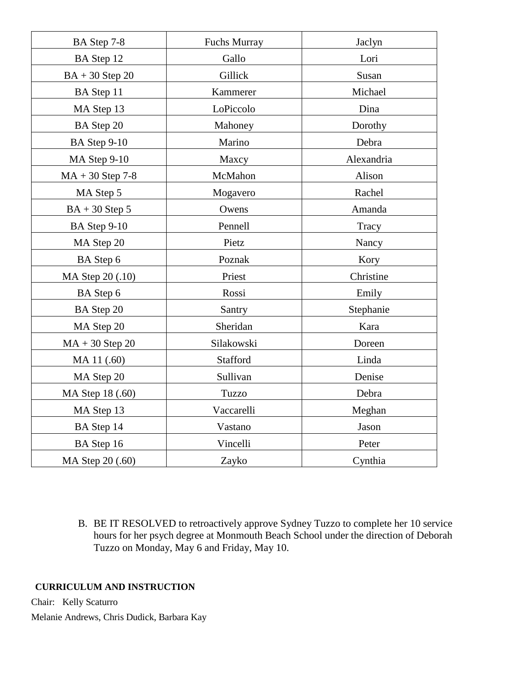| BA Step 7-8        | Fuchs Murray | Jaclyn     |
|--------------------|--------------|------------|
| BA Step 12         | Gallo        | Lori       |
| $BA + 30$ Step 20  | Gillick      | Susan      |
| BA Step 11         | Kammerer     | Michael    |
| MA Step 13         | LoPiccolo    | Dina       |
| BA Step 20         | Mahoney      | Dorothy    |
| BA Step 9-10       | Marino       | Debra      |
| MA Step 9-10       | Maxcy        | Alexandria |
| $MA + 30$ Step 7-8 | McMahon      | Alison     |
| MA Step 5          | Mogavero     | Rachel     |
| $BA + 30$ Step 5   | Owens        | Amanda     |
| BA Step 9-10       | Pennell      | Tracy      |
| MA Step 20         | Pietz        | Nancy      |
| BA Step 6          | Poznak       | Kory       |
| MA Step 20 (.10)   | Priest       | Christine  |
| BA Step 6          | Rossi        | Emily      |
| BA Step 20         | Santry       | Stephanie  |
| MA Step 20         | Sheridan     | Kara       |
| $MA + 30$ Step 20  | Silakowski   | Doreen     |
| MA 11 (.60)        | Stafford     | Linda      |
| MA Step 20         | Sullivan     | Denise     |
| MA Step 18 (.60)   | Tuzzo        | Debra      |
| MA Step 13         | Vaccarelli   | Meghan     |
| BA Step 14         | Vastano      | Jason      |
| BA Step 16         | Vincelli     | Peter      |
| MA Step 20 (.60)   | Zayko        | Cynthia    |

B. BE IT RESOLVED to retroactively approve Sydney Tuzzo to complete her 10 service hours for her psych degree at Monmouth Beach School under the direction of Deborah Tuzzo on Monday, May 6 and Friday, May 10.

## **CURRICULUM AND INSTRUCTION**

Chair: Kelly Scaturro

Melanie Andrews, Chris Dudick, Barbara Kay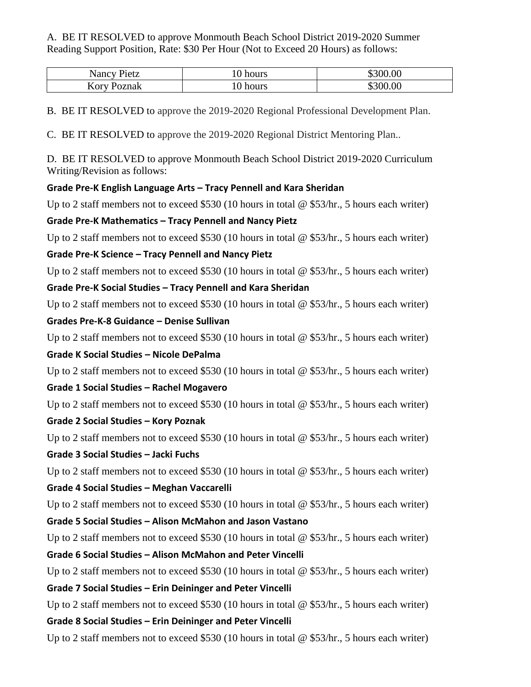## A. BE IT RESOLVED to approve Monmouth Beach School District 2019-2020 Summer Reading Support Position, Rate: \$30 Per Hour (Not to Exceed 20 Hours) as follows:

| Nancy Pietz        | hours | \$300.00 |
|--------------------|-------|----------|
| <b>Kory Poznak</b> | hours | 00.00    |

B. BE IT RESOLVED to approve the 2019-2020 Regional Professional Development Plan.

C. BE IT RESOLVED to approve the 2019-2020 Regional District Mentoring Plan..

D. BE IT RESOLVED to approve Monmouth Beach School District 2019-2020 Curriculum Writing/Revision as follows:

## **Grade Pre-K English Language Arts – Tracy Pennell and Kara Sheridan**

Up to 2 staff members not to exceed \$530 (10 hours in total  $\omega$  \$53/hr., 5 hours each writer)

# **Grade Pre-K Mathematics – Tracy Pennell and Nancy Pietz**

Up to 2 staff members not to exceed \$530 (10 hours in total  $\omega$  \$53/hr., 5 hours each writer)

# **Grade Pre-K Science – Tracy Pennell and Nancy Pietz**

Up to 2 staff members not to exceed \$530 (10 hours in total @ \$53/hr., 5 hours each writer)

**Grade Pre-K Social Studies – Tracy Pennell and Kara Sheridan** 

Up to 2 staff members not to exceed \$530 (10 hours in total  $\omega$  \$53/hr., 5 hours each writer)

# **Grades Pre-K-8 Guidance – Denise Sullivan**

Up to 2 staff members not to exceed \$530 (10 hours in total @ \$53/hr., 5 hours each writer)

# **Grade K Social Studies – Nicole DePalma**

Up to 2 staff members not to exceed \$530 (10 hours in total @ \$53/hr., 5 hours each writer)

# **Grade 1 Social Studies – Rachel Mogavero**

Up to 2 staff members not to exceed \$530 (10 hours in total @ \$53/hr., 5 hours each writer)

# **Grade 2 Social Studies – Kory Poznak**

Up to 2 staff members not to exceed \$530 (10 hours in total @ \$53/hr., 5 hours each writer)

# **Grade 3 Social Studies – Jacki Fuchs**

Up to 2 staff members not to exceed \$530 (10 hours in total @ \$53/hr., 5 hours each writer)

# **Grade 4 Social Studies – Meghan Vaccarelli**

Up to 2 staff members not to exceed \$530 (10 hours in total @ \$53/hr., 5 hours each writer)

# **Grade 5 Social Studies – Alison McMahon and Jason Vastano**

Up to 2 staff members not to exceed \$530 (10 hours in total  $\omega$  \$53/hr., 5 hours each writer)

# **Grade 6 Social Studies – Alison McMahon and Peter Vincelli**

Up to 2 staff members not to exceed \$530 (10 hours in total  $\omega$  \$53/hr., 5 hours each writer)

# **Grade 7 Social Studies – Erin Deininger and Peter Vincelli**

Up to 2 staff members not to exceed \$530 (10 hours in total @ \$53/hr., 5 hours each writer) **Grade 8 Social Studies – Erin Deininger and Peter Vincelli** 

Up to 2 staff members not to exceed \$530 (10 hours in total  $\omega$  \$53/hr., 5 hours each writer)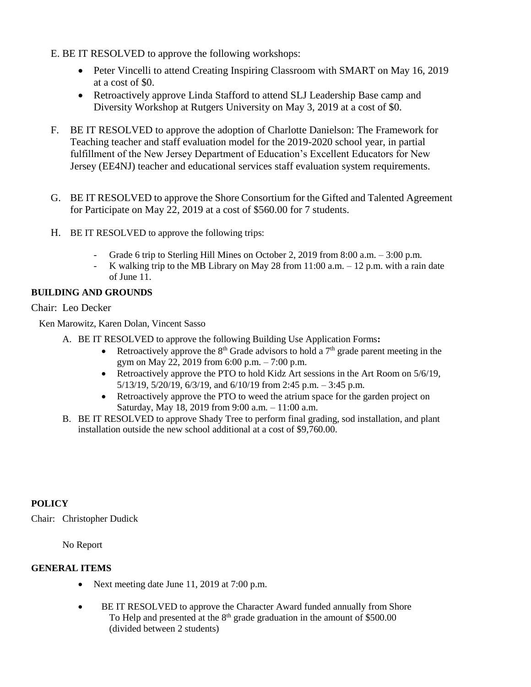- E. BE IT RESOLVED to approve the following workshops:
	- Peter Vincelli to attend Creating Inspiring Classroom with SMART on May 16, 2019 at a cost of \$0.
	- Retroactively approve Linda Stafford to attend SLJ Leadership Base camp and Diversity Workshop at Rutgers University on May 3, 2019 at a cost of \$0.
- F. BE IT RESOLVED to approve the adoption of Charlotte Danielson: The Framework for Teaching teacher and staff evaluation model for the 2019-2020 school year, in partial fulfillment of the New Jersey Department of Education's Excellent Educators for New Jersey (EE4NJ) teacher and educational services staff evaluation system requirements.
- G. BE IT RESOLVED to approve the Shore Consortium for the Gifted and Talented Agreement for Participate on May 22, 2019 at a cost of \$560.00 for 7 students.
- H. BE IT RESOLVED to approve the following trips:
	- Grade 6 trip to Sterling Hill Mines on October 2, 2019 from 8:00 a.m. 3:00 p.m.
	- K walking trip to the MB Library on May 28 from  $11:00$  a.m.  $-12$  p.m. with a rain date of June 11.

## **BUILDING AND GROUNDS**

## Chair: Leo Decker

Ken Marowitz, Karen Dolan, Vincent Sasso

- A. BE IT RESOLVED to approve the following Building Use Application Forms**:** 
	- Retroactively approve the  $8<sup>th</sup>$  Grade advisors to hold a  $7<sup>th</sup>$  grade parent meeting in the gym on May 22, 2019 from 6:00 p.m. – 7:00 p.m.
	- Retroactively approve the PTO to hold Kidz Art sessions in the Art Room on 5/6/19, 5/13/19, 5/20/19, 6/3/19, and 6/10/19 from 2:45 p.m. – 3:45 p.m.
	- Retroactively approve the PTO to weed the atrium space for the garden project on Saturday, May 18, 2019 from 9:00 a.m. – 11:00 a.m.
- B. BE IT RESOLVED to approve Shady Tree to perform final grading, sod installation, and plant installation outside the new school additional at a cost of \$9,760.00.

# **POLICY**

Chair: Christopher Dudick

No Report

## **GENERAL ITEMS**

- Next meeting date June 11, 2019 at 7:00 p.m.
- BE IT RESOLVED to approve the Character Award funded annually from Shore To Help and presented at the  $8<sup>th</sup>$  grade graduation in the amount of \$500.00 (divided between 2 students)